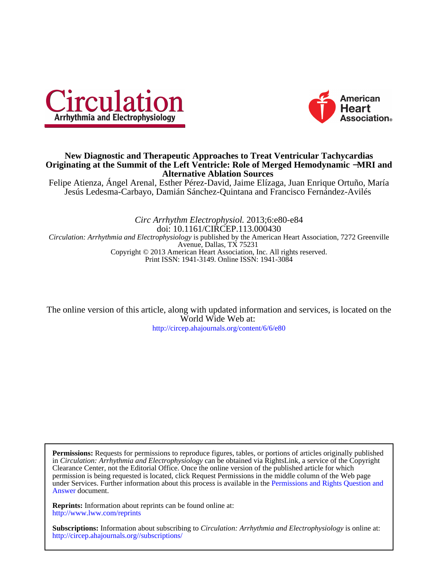



# **Alternative Ablation Sources Originating at the Summit of the Left Ventricle: Role of Merged Hemodynamic** −**MRI and New Diagnostic and Therapeutic Approaches to Treat Ventricular Tachycardias**

Jesús Ledesma-Carbayo, Damián Sánchez-Quintana and Francisco Fernández-Avilés Felipe Atienza, Ángel Arenal, Esther Pérez-David, Jaime Elízaga, Juan Enrique Ortuño, María

Print ISSN: 1941-3149. Online ISSN: 1941-3084 Copyright © 2013 American Heart Association, Inc. All rights reserved. Avenue, Dallas, TX 75231 *Circulation: Arrhythmia and Electrophysiology* is published by the American Heart Association, 7272 Greenville doi: 10.1161/CIRCEP.113.000430 *Circ Arrhythm Electrophysiol.* 2013;6:e80-e84

<http://circep.ahajournals.org/content/6/6/e80> World Wide Web at: The online version of this article, along with updated information and services, is located on the

[Answer](http://www.ahajournals.org/site/rights/) document. under Services. Further information about this process is available in the [Permissions and Rights Question and](http://www.ahajournals.org/site/rights/) permission is being requested is located, click Request Permissions in the middle column of the Web page Clearance Center, not the Editorial Office. Once the online version of the published article for which in *Circulation: Arrhythmia and Electrophysiology* can be obtained via RightsLink, a service of the Copyright **Permissions:** Requests for permissions to reproduce figures, tables, or portions of articles originally published

<http://www.lww.com/reprints> **Reprints:** Information about reprints can be found online at:

<http://circep.ahajournals.org//subscriptions/> **Subscriptions:** Information about subscribing to *Circulation: Arrhythmia and Electrophysiology* is online at: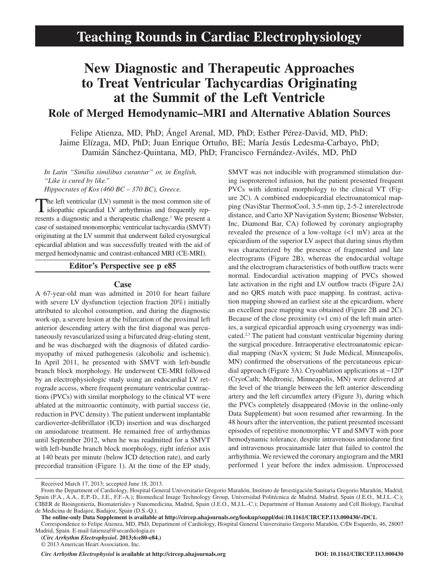# **New Diagnostic and Therapeutic Approaches to Treat Ventricular Tachycardias Originating at the Summit of the Left Ventricle**

# **Role of Merged Hemodynamic–MRI and Alternative Ablation Sources**

Felipe Atienza, MD, PhD; Ángel Arenal, MD, PhD; Esther Pérez-David, MD, PhD; Jaime Elízaga, MD, PhD; Juan Enrique Ortuño, BE; María Jesús Ledesma-Carbayo, PhD; Damián Sánchez-Quintana, MD, PhD; Francisco Fernández-Avilés, MD, PhD

*In Latin "Similia similibus curantur" or, in English, "Like is cured by like." Hippocrates of Kos (460 BC – 370 BC), Greece.*

The left ventricular (LV) summit is the most common site of idiopathic epicardial LV arrhythmias and frequently represents a diagnostic and a therapeutic challenge.<sup>1</sup> We present a case of sustained monomorphic ventricular tachycardia (SMVT) originating at the LV summit that underwent failed cryosurgical epicardial ablation and was successfully treated with the aid of merged hemodynamic and contrast-enhanced MRI (CE-MRI).

# **Editor's Perspective see p e85**

# **Case**

A 67-year-old man was admitted in 2010 for heart failure with severe LV dysfunction (ejection fraction 20%) initially attributed to alcohol consumption, and during the diagnostic work-up, a severe lesion at the bifurcation of the proximal left anterior descending artery with the first diagonal was percutaneously revascularized using a bifurcated drug-eluting stent, and he was discharged with the diagnosis of dilated cardiomyopathy of mixed pathogenesis (alcoholic and ischemic). In April 2011, he presented with SMVT with left-bundle branch block morphology. He underwent CE-MRI followed by an electrophysiologic study using an endocardial LV retrograde access, where frequent premature ventricular contractions (PVCs) with similar morphology to the clinical VT were ablated at the mitroaortic continuity, with partial success (ie, reduction in PVC density). The patient underwent implantable cardioverter-defibrillator (ICD) insertion and was discharged on amiodarone treatment. He remained free of arrhythmias until September 2012, when he was readmitted for a SMVT with left-bundle branch block morphology, right inferior axis at 140 beats per minute (below ICD detection rate), and early precordial transition (Figure 1). At the time of the EP study, SMVT was not inducible with programmed stimulation during isoproterenol infusion, but the patient presented frequent PVCs with identical morphology to the clinical VT (Figure 2C). A combined endoepicardial electroanatomical mapping (NaviStar ThermoCool, 3.5-mm tip, 2-5-2 interelectrode distance, and Carto XP Navigation System; Biosense Webster, Inc, Diamond Bar, CA) followed by coronary angiography revealed the presence of a low-voltage (<1 mV) area at the epicardium of the superior LV aspect that during sinus rhythm was characterized by the presence of fragmented and late electrograms (Figure 2B), whereas the endocardial voltage and the electrogram characteristics of both outflow tracts were normal. Endocardial activation mapping of PVCs showed late activation in the right and LV outflow tracts (Figure 2A) and no QRS match with pace mapping. In contrast, activation mapping showed an earliest site at the epicardium, where an excellent pace mapping was obtained (Figure 2B and 2C). Because of the close proximity ( $\approx$ 1 cm) of the left main arteries, a surgical epicardial approach using cryoenergy was indicated.2,3 The patient had constant ventricular bigeminy during the surgical procedure. Intraoperative electroanatomic epicardial mapping (NavX system; St Jude Medical, Minneapolis, MN) confirmed the observations of the percutaneous epicardial approach (Figure 3A). Cryoablation applications at −120º (CryoCath; Medtronic, Minneapolis, MN) were delivered at the level of the triangle between the left anterior descending artery and the left circumflex artery (Figure 3), during which the PVCs completely disappeared (Movie in the online-only Data Supplement) but soon resumed after rewarming. In the 48 hours after the intervention, the patient presented incessant episodes of repetitive monomorphic VT and SMVT with poor hemodynamic tolerance, despite intravenous amiodarone first and intravenous procainamide later that failed to control the arrhythmia. We reviewed the coronary angiogram and the MRI performed 1 year before the index admission. Unprocessed

Received March 17, 2013; accepted June 18, 2013.

From the Department of Cardiology, Hospital General Universitario Gregorio Marañón, Instituto de Investigación Sanitaria Gregorio Marañón, Madrid, Spain (F.A., A.A., E.P.-D., J.E., F.F.-A.); Biomedical Image Technology Group, Universidad Politécnica de Madrid, Madrid, Spain (J.E.O., M.J.L.-C.); CIBER de Bioingeniería, Biomateriales y Nanomedicina, Madrid, Spain (J.E.O., M.J.L.-C.); Department of Human Anatomy and Cell Biology, Facultad de Medicina de Badajoz, Badajoz, Spain (D.S.-Q.).

**The online-only Data Supplement is available at [http://circep.ahajournals.org/lookup/suppl/doi:10.1161/CIRCEP.113.000430/-/DC1.](http://circep.ahajournals.org/lookup/suppl/doi:10.1161/CIRCEP.113.000430/-/DC1)**

Correspondence to Felipe Atienza, MD, PhD, Department of Cardiology, Hospital General Universitario Gregorio Marañón, C/Dr Esquerdo, 46, 28007 Madrid, Spain. E-mail [fatienzaf@secardiologia.es](mailto:fatienzaf@secardiologia.es)

**<sup>(</sup>***Circ Arrhythm Electrophysiol***. 2013;6:e80-e84.)**

<sup>© 2013</sup> American Heart Association, Inc.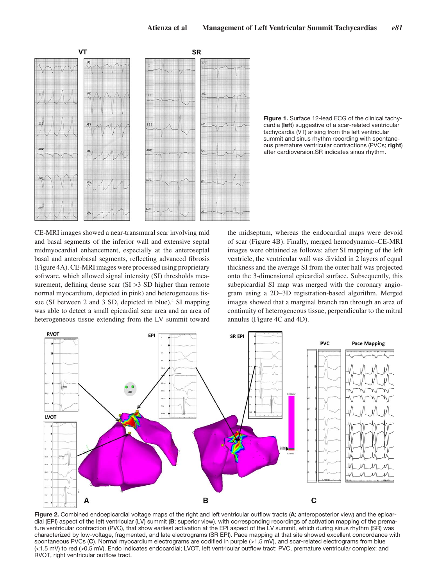

**Figure 1.** Surface 12-lead ECG of the clinical tachycardia (**left**) suggestive of a scar-related ventricular tachycardia (VT) arising from the left ventricular summit and sinus rhythm recording with spontaneous premature ventricular contractions (PVCs; **right**) after cardioversion.SR indicates sinus rhythm.

CE-MRI images showed a near-transmural scar involving mid and basal segments of the inferior wall and extensive septal midmyocardial enhancement, especially at the anteroseptal basal and anterobasal segments, reflecting advanced fibrosis (Figure 4A). CE-MRI images were processed using proprietary software, which allowed signal intensity (SI) thresholds measurement, defining dense scar (SI > 3SD higher than remote normal myocardium, depicted in pink) and heterogeneous tissue (SI between 2 and 3 SD, depicted in blue). $4$  SI mapping was able to detect a small epicardial scar area and an area of heterogeneous tissue extending from the LV summit toward

the midseptum, whereas the endocardial maps were devoid of scar (Figure 4B). Finally, merged hemodynamic–CE-MRI images were obtained as follows: after SI mapping of the left ventricle, the ventricular wall was divided in 2 layers of equal thickness and the average SI from the outer half was projected onto the 3-dimensional epicardial surface. Subsequently, this subepicardial SI map was merged with the coronary angiogram using a 2D–3D registration-based algorithm. Merged images showed that a marginal branch ran through an area of continuity of heterogeneous tissue, perpendicular to the mitral annulus (Figure 4C and 4D).



**Figure 2.** Combined endoepicardial voltage maps of the right and left ventricular outflow tracts (**A**; anteroposterior view) and the epicardial (EPI) aspect of the left ventricular (LV) summit (**B**; superior view), with corresponding recordings of activation mapping of the premature ventricular contraction (PVC), that show earliest activation at the EPI aspect of the LV summit, which during sinus rhythm (SR) was characterized by low-voltage, fragmented, and late electrograms (SR EPI). Pace mapping at that site showed excellent concordance with spontaneous PVCs (C). Normal myocardium electrograms are codi[fied in purple \(>1.5 mV\), and sc](http://circep.ahajournals.org/)ar-related electrograms from blue (<1.5 mV) to red (>0.5 mV). Endo indicates endocardial; LVOT, left ventricular outflow tract; PVC, premature ventricular complex; and RVOT, right ventricular outflow tract.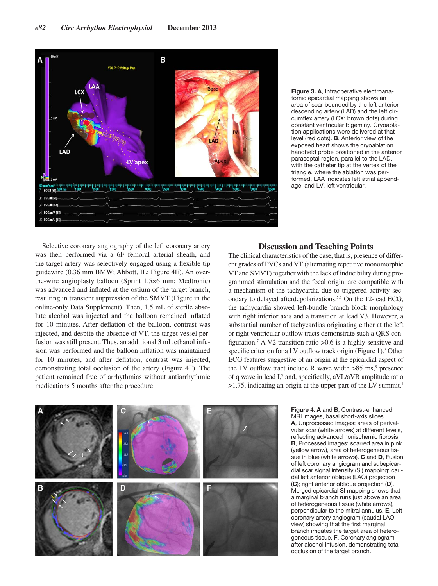

**Figure 3. A**, Intraoperative electroanatomic epicardial mapping shows an area of scar bounded by the left anterior descending artery (LAD) and the left circumflex artery (LCX; brown dots) during constant ventricular bigeminy. Cryoablation applications were delivered at that level (red dots). **B**, Anterior view of the exposed heart shows the cryoablation handheld probe positioned in the anterior paraseptal region, parallel to the LAD, with the catheter tip at the vertex of the triangle, where the ablation was performed. LAA indicates left atrial appendage; and LV, left ventricular.

Selective coronary angiography of the left coronary artery was then performed via a 6F femoral arterial sheath, and the target artery was selectively engaged using a flexible-tip guidewire (0.36 mm BMW; Abbott, IL; Figure 4E). An overthe-wire angioplasty balloon (Sprint 1.5×6 mm; Medtronic) was advanced and inflated at the ostium of the target branch, resulting in transient suppression of the SMVT (Figure in the online-only Data Supplement). Then, 1.5 mL of sterile absolute alcohol was injected and the balloon remained inflated for 10 minutes. After deflation of the balloon, contrast was injected, and despite the absence of VT, the target vessel perfusion was still present. Thus, an additional 3 mL ethanol infusion was performed and the balloon inflation was maintained for 10 minutes, and after deflation, contrast was injected, demonstrating total occlusion of the artery (Figure 4F). The patient remained free of arrhythmias without antiarrhythmic medications 5 months after the procedure.

# **Discussion and Teaching Points**

The clinical characteristics of the case, that is, presence of different grades of PVCs and VT (alternating repetitive monomorphic VT and SMVT) together with the lack of inducibility during programmed stimulation and the focal origin, are compatible with a mechanism of the tachycardia due to triggered activity secondary to delayed afterdepolarizations.<sup>5,6</sup> On the 12-lead ECG, the tachycardia showed left-bundle branch block morphology with right inferior axis and a transition at lead V3. However, a substantial number of tachycardias originating either at the left or right ventricular outflow tracts demonstrate such a QRS configuration.<sup>7</sup> A V2 transition ratio >0.6 is a highly sensitive and specific criterion for a LV outflow track origin (Figure 1).<sup>7</sup> Other ECG features suggestive of an origin at the epicardial aspect of the LV outflow tract include R wave width  $>85$  ms,<sup>8</sup> presence of q wave in lead I,<sup>9</sup> and, specifically, aVL/aVR amplitude ratio  $>1.75$ , indicating an origin at the upper part of the LV summit.<sup>1</sup>



**Figure 4. A** and **B**, Contrast-enhanced MRI images, basal short-axis slices. **A**, Unprocessed images: areas of perivalvular scar (white arrows) at different levels, reflecting advanced nonischemic fibrosis. **B**, Processed images: scarred area in pink (yellow arrow), area of heterogeneous tissue in blue (white arrows). **C** and **D**, Fusion of left coronary angiogram and subepicardial scar signal intensity (SI) mapping: caudal left anterior oblique (LAO) projection (**C**); right anterior oblique projection (**D**). Merged epicardial SI mapping shows that a marginal branch runs just above an area of heterogeneous tissue (white arrows), perpendicular to the mitral annulus. **E**, Left coronary artery angiogram (caudal LAO view) showing that the first marginal branch irrigates the target area of heterogeneous tissue. **F**, Coronary angiogram [af](http://circep.ahajournals.org/)ter alcohol infusion, demonstrating total occlusion of the target branch.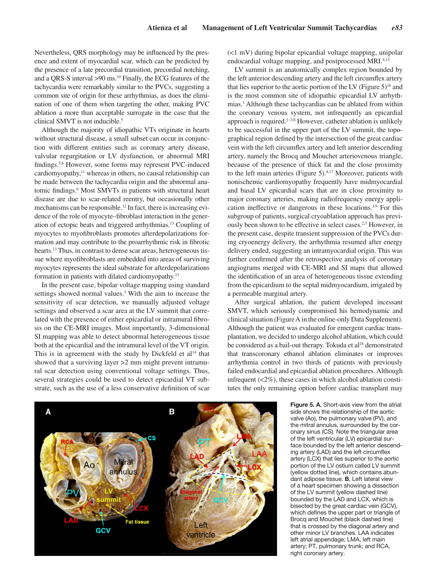Nevertheless, QRS morphology may be influenced by the presence and extent of myocardial scar, which can be predicted by the presence of a late precordial transition, precordial notching, and a QRS-S interval >90 ms.<sup>10</sup> Finally, the ECG features of the tachycardia were remarkably similar to the PVCs, suggesting a common site of origin for these arrhythmias, as does the elimination of one of them when targeting the other, making PVC ablation a more than acceptable surrogate in the case that the clinical SMVT is not inducible.<sup>5</sup>

Although the majority of idiopathic VTs originate in hearts without structural disease, a small subset can occur in conjunction with different entities such as coronary artery disease, valvular regurgitation or LV dysfunction, or abnormal MRI findings.5,6 However, some forms may represent PVC-induced cardiomyopathy,<sup>11</sup> whereas in others, no causal relationship can be made between the tachycardia origin and the abnormal anatomic findings.<sup>6</sup> Most SMVTs in patients with structural heart disease are due to scar-related reentry, but occasionally other mechanisms can be responsible.<sup>12</sup> In fact, there is increasing evidence of the role of myocyte–fibroblast interaction in the generation of ectopic beats and triggered arrhythmias.13 Coupling of myocytes to myofibroblasts promotes afterdepolarizations formation and may contribute to the proarrhythmic risk in fibrotic hearts.<sup>13</sup> Thus, in contrast to dense scar areas, heterogeneous tissue where myofibroblasts are embedded into areas of surviving myocytes represents the ideal substrate for afterdepolarizations formation in patients with dilated cardiomyopathy.13

In the present case, bipolar voltage mapping using standard settings showed normal values.<sup>3</sup> With the aim to increase the sensitivity of scar detection, we manually adjusted voltage settings and observed a scar area at the LV summit that correlated with the presence of either epicardial or intramural fibrosis on the CE-MRI images. Most importantly, 3-dimensional SI mapping was able to detect abnormal heterogeneous tissue both at the epicardial and the intramural level of the VT origin. This is in agreement with the study by Dickfeld et al<sup>14</sup> that showed that a surviving layer >2 mm might prevent intramural scar detection using conventional voltage settings. Thus, several strategies could be used to detect epicardial VT substrate, such as the use of a less conservative definition of scar

(<1 mV) during bipolar epicardial voltage mapping, unipolar endocardial voltage mapping, and postprocessed MRI.<sup>4,15</sup>

LV summit is an anatomically complex region bounded by the left anterior descending artery and the left circumflex artery that lies superior to the aortic portion of the LV (Figure  $5)^{16}$  and is the most common site of idiopathic epicardial LV arrhythmias.1 Although these tachycardias can be ablated from within the coronary venous system, not infrequently an epicardial approach is required.<sup>1-3,8</sup> However, catheter ablation is unlikely to be successful in the upper part of the LV summit, the topographical region defined by the intersection of the great cardiac vein with the left circumflex artery and left anterior descending artery, namely the Brocq and Mouchet arteriovenous triangle, because of the presence of thick fat and the close proximity to the left main arteries (Figure 5).8,17 Moreover, patients with nonischemic cardiomyopathy frequently have midmyocardial and basal LV epicardial scars that are in close proximity to major coronary arteries, making radiofrequency energy application ineffective or dangerous in these locations.<sup>3,9</sup> For this subgroup of patients, surgical cryoablation approach has previously been shown to be effective in select cases.<sup>2,3</sup> However, in the present case, despite transient suppression of the PVCs during cryoenergy delivery, the arrhythmia resumed after energy delivery ended, suggesting an intramyocardial origin. This was further confirmed after the retrospective analysis of coronary angiograms merged with CE-MRI and SI maps that allowed the identification of an area of heterogeneous tissue extending from the epicardium to the septal midmyocardium, irrigated by a permeable marginal artery.

After surgical ablation, the patient developed incessant SMVT, which seriously compromised his hemodynamic and clinical situation (Figure A in the online-only Data Supplement). Although the patient was evaluated for emergent cardiac transplantation, we decided to undergo alcohol ablation, which could be considered as a bail-out therapy. Tokuda et al<sup>18</sup> demonstrated that transcoronary ethanol ablation eliminates or improves arrhythmia control in two thirds of patients with previously failed endocardial and epicardial ablation procedures. Although infrequent  $(\leq 2\%)$ , these cases in which alcohol ablation constitutes the only remaining option before cardiac transplant may

> **Figure 5. A**, Short-axis view from the atrial side shows the relationship of the aortic valve (Ao), the pulmonary valve (PV), and the mitral annulus, surrounded by the coronary sinus (CS). Note the triangular area of the left ventricular (LV) epicardial surface bounded by the left anterior descending artery (LAD) and the left circumflex artery (LCX) that lies superior to the aortic portion of the LV ostium called LV summit (yellow dotted line), which contains abundant adipose tissue. **B**, Left lateral view of a heart specimen showing a dissection of the LV summit (yellow dashed line) bounded by the LAD and LCX, which is bisected by the great cardiac vein (GCV), which defines the upper part or triangle of Brocq and Mouchet (black dashed line) that is crossed by the diagonal artery and other minor LV branches. LAA indicates [lef](http://circep.ahajournals.org/)t atrial appendage; LMA, left main artery; PT, pulmonary trunk; and RCA, right coronary artery.